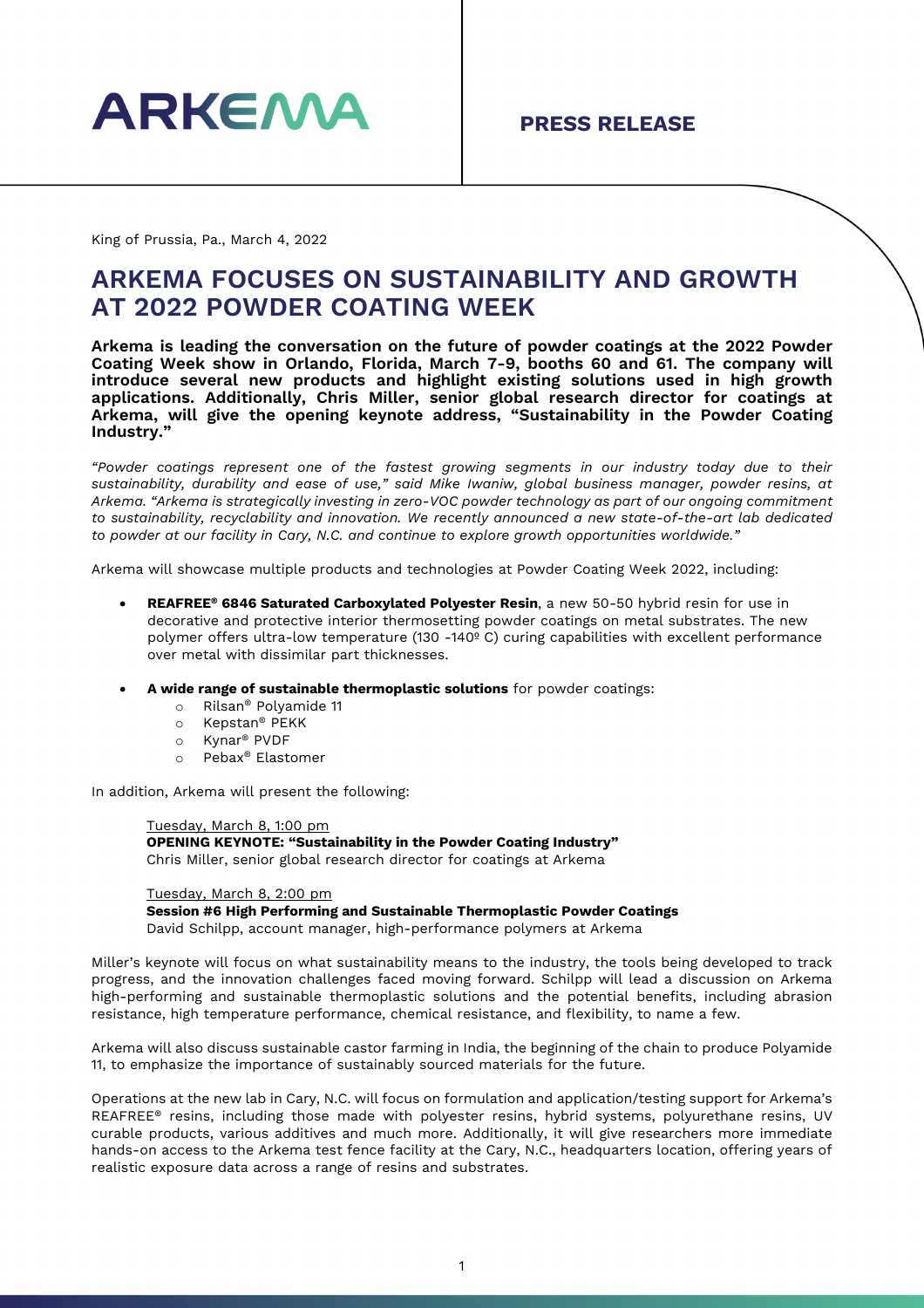

King of Prussia, Pa., March 4, 2022

## **ARKEMA FOCUSES ON SUSTAINABILITY AND GROWTH AT 2022 POWDER COATING WEEK**

**Arkema is leading the conversation on the future of powder coatings at the 2022 Powder Coating Week show in Orlando, Florida, March 7-9, booths 60 and 61. The company will introduce several new products and highlight existing solutions used in high growth applications. Additionally, Chris Miller, senior global research director for coatings at Arkema, will give the opening keynote address, "Sustainability in the Powder Coating Industry."**

*"Powder coatings represent one of the fastest growing segments in our industry today due to their sustainability, durability and ease of use," said Mike Iwaniw, global business manager, powder resins, at Arkema. "Arkema is strategically investing in zero-VOC powder technology as part of our ongoing commitment to sustainability, recyclability and innovation. We recently announced a new state-of-the-art lab dedicated to powder at our facility in Cary, N.C. and continue to explore growth opportunities worldwide."*

Arkema will showcase multiple products and technologies at Powder Coating Week 2022, including:

- **REAFREE® 6846 Saturated Carboxylated Polyester Resin**, a new 50-50 hybrid resin for use in decorative and protective interior thermosetting powder coatings on metal substrates. The new polymer offers ultra-low temperature (130 -140º C) curing capabilities with excellent performance over metal with dissimilar part thicknesses.
- **A wide range of sustainable thermoplastic solutions** for powder coatings:
	- o Rilsan® Polyamide 11<br>○ Kepstan® PEKK
	- o Kepstan® PEKK<br>o Kynar® PVDF
	- Kynar<sup>®</sup> PVDF
	- o Pebax® Elastomer

In addition, Arkema will present the following:

Tuesday, March 8, 1:00 pm **OPENING KEYNOTE: "Sustainability in the Powder Coating Industry"**  Chris Miller, senior global research director for coatings at Arkema

Tuesday, March 8, 2:00 pm **Session #6 High Performing and Sustainable Thermoplastic Powder Coatings** David Schilpp, account manager, high-performance polymers at Arkema

Miller's keynote will focus on what sustainability means to the industry, the tools being developed to track progress, and the innovation challenges faced moving forward. Schilpp will lead a discussion on Arkema high-performing and sustainable thermoplastic solutions and the potential benefits, including abrasion resistance, high temperature performance, chemical resistance, and flexibility, to name a few.

Arkema will also discuss sustainable castor farming in India, the beginning of the chain to produce Polyamide 11, to emphasize the importance of sustainably sourced materials for the future.

Operations at the new lab in Cary, N.C. will focus on formulation and application/testing support for Arkema's REAFREE® resins, including those made with polyester resins, hybrid systems, polyurethane resins, UV curable products, various additives and much more. Additionally, it will give researchers more immediate hands-on access to the Arkema test fence facility at the Cary, N.C., headquarters location, offering years of realistic exposure data across a range of resins and substrates.